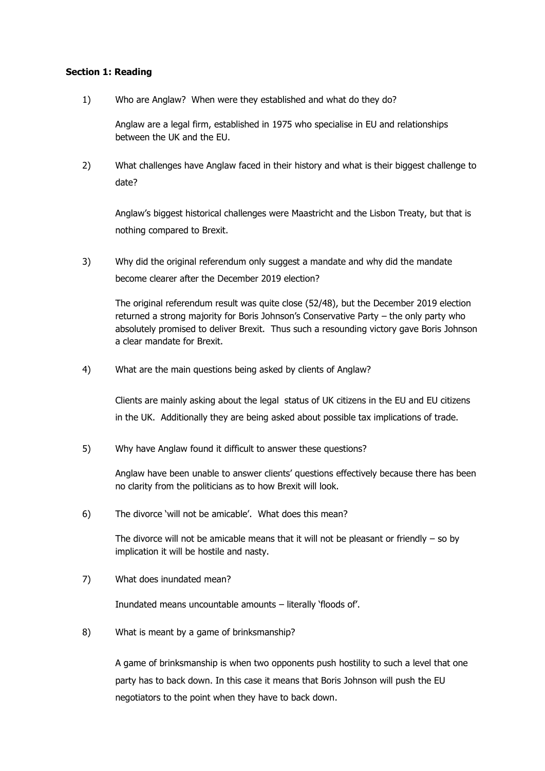### **Section 1: Reading**

1) Who are Anglaw? When were they established and what do they do?

Anglaw are a legal firm, established in 1975 who specialise in EU and relationships between the UK and the EU.

2) What challenges have Anglaw faced in their history and what is their biggest challenge to date?

Anglaw's biggest historical challenges were Maastricht and the Lisbon Treaty, but that is nothing compared to Brexit.

3) Why did the original referendum only suggest a mandate and why did the mandate become clearer after the December 2019 election?

The original referendum result was quite close (52/48), but the December 2019 election returned a strong majority for Boris Johnson's Conservative Party – the only party who absolutely promised to deliver Brexit. Thus such a resounding victory gave Boris Johnson a clear mandate for Brexit.

4) What are the main questions being asked by clients of Anglaw?

Clients are mainly asking about the legal status of UK citizens in the EU and EU citizens in the UK. Additionally they are being asked about possible tax implications of trade.

5) Why have Anglaw found it difficult to answer these questions?

Anglaw have been unable to answer clients' questions effectively because there has been no clarity from the politicians as to how Brexit will look.

6) The divorce 'will not be amicable'. What does this mean?

The divorce will not be amicable means that it will not be pleasant or friendly  $-$  so by implication it will be hostile and nasty.

7) What does inundated mean?

Inundated means uncountable amounts – literally 'floods of'.

8) What is meant by a game of brinksmanship?

A game of brinksmanship is when two opponents push hostility to such a level that one party has to back down. In this case it means that Boris Johnson will push the EU negotiators to the point when they have to back down.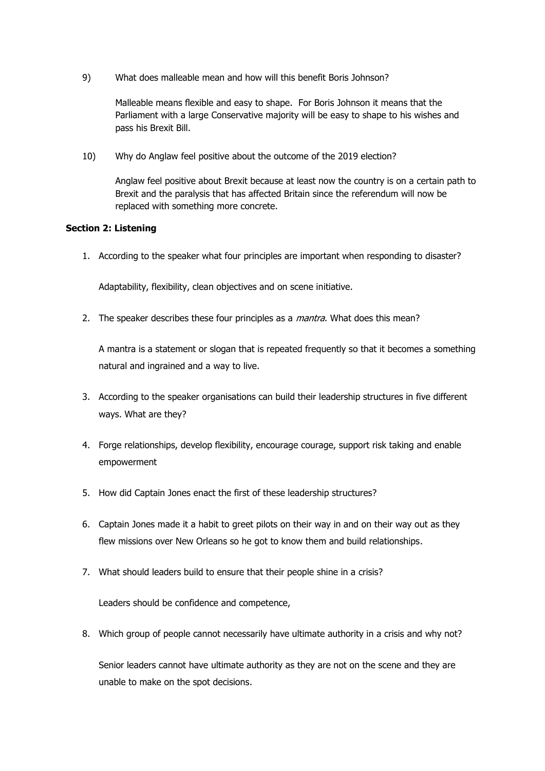9) What does malleable mean and how will this benefit Boris Johnson?

Malleable means flexible and easy to shape. For Boris Johnson it means that the Parliament with a large Conservative majority will be easy to shape to his wishes and pass his Brexit Bill.

10) Why do Anglaw feel positive about the outcome of the 2019 election?

Anglaw feel positive about Brexit because at least now the country is on a certain path to Brexit and the paralysis that has affected Britain since the referendum will now be replaced with something more concrete.

### **Section 2: Listening**

1. According to the speaker what four principles are important when responding to disaster?

Adaptability, flexibility, clean objectives and on scene initiative.

2. The speaker describes these four principles as a *mantra*. What does this mean?

A mantra is a statement or slogan that is repeated frequently so that it becomes a something natural and ingrained and a way to live.

- 3. According to the speaker organisations can build their leadership structures in five different ways. What are they?
- 4. Forge relationships, develop flexibility, encourage courage, support risk taking and enable empowerment
- 5. How did Captain Jones enact the first of these leadership structures?
- 6. Captain Jones made it a habit to greet pilots on their way in and on their way out as they flew missions over New Orleans so he got to know them and build relationships.
- 7. What should leaders build to ensure that their people shine in a crisis?

Leaders should be confidence and competence,

8. Which group of people cannot necessarily have ultimate authority in a crisis and why not?

Senior leaders cannot have ultimate authority as they are not on the scene and they are unable to make on the spot decisions.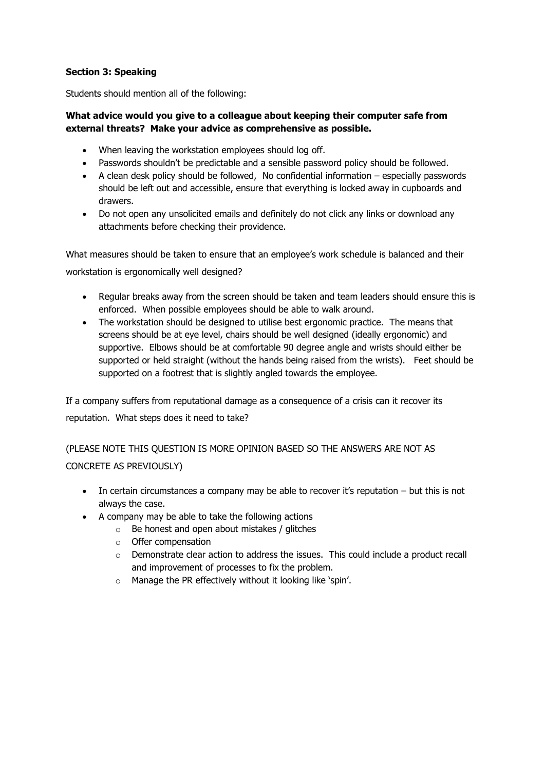# **Section 3: Speaking**

Students should mention all of the following:

# **What advice would you give to a colleague about keeping their computer safe from external threats? Make your advice as comprehensive as possible.**

- When leaving the workstation employees should log off.
- Passwords shouldn't be predictable and a sensible password policy should be followed.
- A clean desk policy should be followed, No confidential information especially passwords should be left out and accessible, ensure that everything is locked away in cupboards and drawers.
- Do not open any unsolicited emails and definitely do not click any links or download any attachments before checking their providence.

What measures should be taken to ensure that an employee's work schedule is balanced and their workstation is ergonomically well designed?

- Regular breaks away from the screen should be taken and team leaders should ensure this is enforced. When possible employees should be able to walk around.
- The workstation should be designed to utilise best ergonomic practice. The means that screens should be at eye level, chairs should be well designed (ideally ergonomic) and supportive. Elbows should be at comfortable 90 degree angle and wrists should either be supported or held straight (without the hands being raised from the wrists). Feet should be supported on a footrest that is slightly angled towards the employee.

If a company suffers from reputational damage as a consequence of a crisis can it recover its reputation. What steps does it need to take?

(PLEASE NOTE THIS QUESTION IS MORE OPINION BASED SO THE ANSWERS ARE NOT AS CONCRETE AS PREVIOUSLY)

- In certain circumstances a company may be able to recover it's reputation but this is not always the case.
- A company may be able to take the following actions
	- o Be honest and open about mistakes / glitches
	- o Offer compensation
	- $\circ$  Demonstrate clear action to address the issues. This could include a product recall and improvement of processes to fix the problem.
	- o Manage the PR effectively without it looking like 'spin'.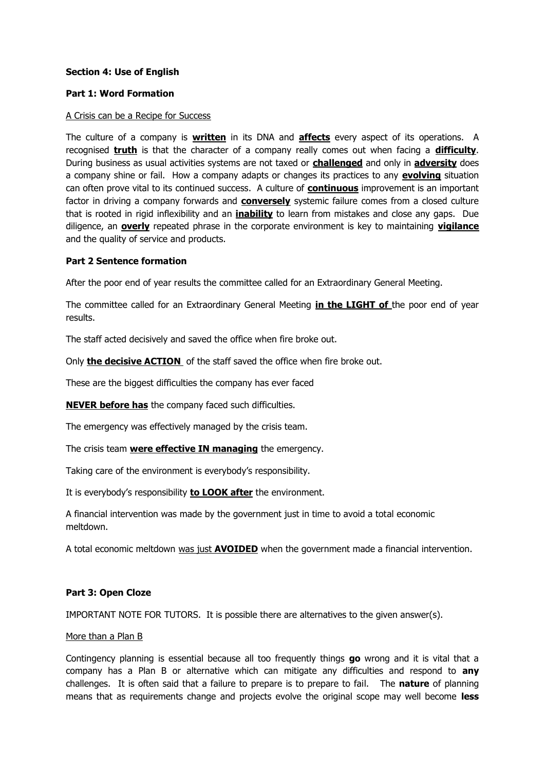## **Section 4: Use of English**

#### **Part 1: Word Formation**

#### A Crisis can be a Recipe for Success

The culture of a company is **written** in its DNA and **affects** every aspect of its operations. A recognised **truth** is that the character of a company really comes out when facing a **difficulty**. During business as usual activities systems are not taxed or **challenged** and only in **adversity** does a company shine or fail. How a company adapts or changes its practices to any **evolving** situation can often prove vital to its continued success. A culture of **continuous** improvement is an important factor in driving a company forwards and **conversely** systemic failure comes from a closed culture that is rooted in rigid inflexibility and an **inability** to learn from mistakes and close any gaps. Due diligence, an **overly** repeated phrase in the corporate environment is key to maintaining **vigilance** and the quality of service and products.

#### **Part 2 Sentence formation**

After the poor end of year results the committee called for an Extraordinary General Meeting.

The committee called for an Extraordinary General Meeting **in the LIGHT of** the poor end of year results.

The staff acted decisively and saved the office when fire broke out.

Only **the decisive ACTION** of the staff saved the office when fire broke out.

These are the biggest difficulties the company has ever faced

**NEVER before has** the company faced such difficulties.

The emergency was effectively managed by the crisis team.

The crisis team **were effective IN managing** the emergency.

Taking care of the environment is everybody's responsibility.

It is everybody's responsibility **to LOOK after** the environment.

A financial intervention was made by the government just in time to avoid a total economic meltdown.

A total economic meltdown was just **AVOIDED** when the government made a financial intervention.

#### **Part 3: Open Cloze**

IMPORTANT NOTE FOR TUTORS. It is possible there are alternatives to the given answer(s).

#### More than a Plan B

Contingency planning is essential because all too frequently things **go** wrong and it is vital that a company has a Plan B or alternative which can mitigate any difficulties and respond to **any** challenges. It is often said that a failure to prepare is to prepare to fail. The **nature** of planning means that as requirements change and projects evolve the original scope may well become **less**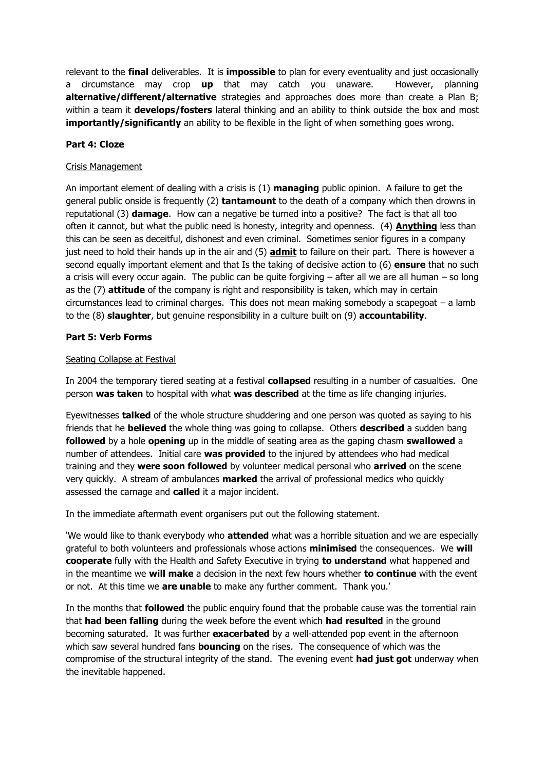relevant to the **final** deliverables. It is **impossible** to plan for every eventuality and just occasionally a circumstance may crop **up** that may catch you unaware. However, planning **alternative/different/alternative** strategies and approaches does more than create a Plan B; within a team it **develops/fosters** lateral thinking and an ability to think outside the box and most **importantly/significantly** an ability to be flexible in the light of when something goes wrong.

### **Part 4: Cloze**

### Crisis Management

An important element of dealing with a crisis is (1) **managing** public opinion. A failure to get the general public onside is frequently (2) **tantamount** to the death of a company which then drowns in reputational (3) **damage**. How can a negative be turned into a positive? The fact is that all too often it cannot, but what the public need is honesty, integrity and openness. (4) **Anything** less than this can be seen as deceitful, dishonest and even criminal. Sometimes senior figures in a company just need to hold their hands up in the air and (5) **admit** to failure on their part. There is however a second equally important element and that Is the taking of decisive action to (6) **ensure** that no such a crisis will every occur again. The public can be quite forgiving  $-$  after all we are all human  $-$  so long as the (7) **attitude** of the company is right and responsibility is taken, which may in certain circumstances lead to criminal charges. This does not mean making somebody a scapegoat – a lamb to the (8) **slaughter**, but genuine responsibility in a culture built on (9) **accountability**.

### **Part 5: Verb Forms**

#### Seating Collapse at Festival

In 2004 the temporary tiered seating at a festival **collapsed** resulting in a number of casualties. One person **was taken** to hospital with what **was described** at the time as life changing injuries.

Eyewitnesses **talked** of the whole structure shuddering and one person was quoted as saying to his friends that he **believed** the whole thing was going to collapse. Others **described** a sudden bang **followed** by a hole **opening** up in the middle of seating area as the gaping chasm **swallowed** a number of attendees. Initial care **was provided** to the injured by attendees who had medical training and they **were soon followed** by volunteer medical personal who **arrived** on the scene very quickly. A stream of ambulances **marked** the arrival of professional medics who quickly assessed the carnage and **called** it a major incident.

In the immediate aftermath event organisers put out the following statement.

'We would like to thank everybody who **attended** what was a horrible situation and we are especially grateful to both volunteers and professionals whose actions **minimised** the consequences. We **will cooperate** fully with the Health and Safety Executive in trying **to understand** what happened and in the meantime we **will make** a decision in the next few hours whether **to continue** with the event or not. At this time we **are unable** to make any further comment. Thank you.'

In the months that **followed** the public enquiry found that the probable cause was the torrential rain that **had been falling** during the week before the event which **had resulted** in the ground becoming saturated. It was further **exacerbated** by a well-attended pop event in the afternoon which saw several hundred fans **bouncing** on the rises. The consequence of which was the compromise of the structural integrity of the stand. The evening event **had just got** underway when the inevitable happened.